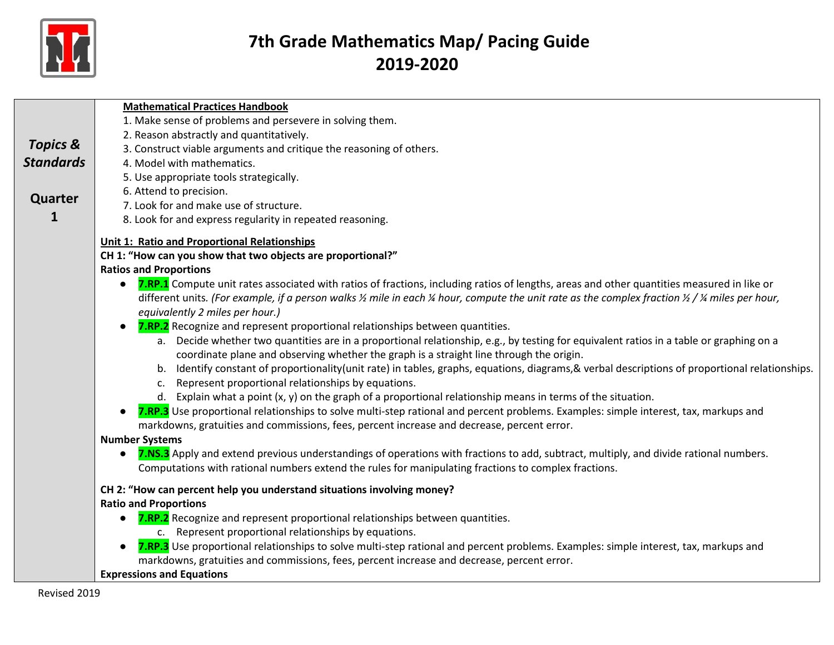

|                     | <b>Mathematical Practices Handbook</b>                                                                                                                                                                                                                |
|---------------------|-------------------------------------------------------------------------------------------------------------------------------------------------------------------------------------------------------------------------------------------------------|
|                     | 1. Make sense of problems and persevere in solving them.                                                                                                                                                                                              |
|                     | 2. Reason abstractly and quantitatively.                                                                                                                                                                                                              |
| <b>Topics &amp;</b> | 3. Construct viable arguments and critique the reasoning of others.                                                                                                                                                                                   |
| <b>Standards</b>    | 4. Model with mathematics.                                                                                                                                                                                                                            |
|                     | 5. Use appropriate tools strategically.                                                                                                                                                                                                               |
| Quarter             | 6. Attend to precision.                                                                                                                                                                                                                               |
|                     | 7. Look for and make use of structure.                                                                                                                                                                                                                |
| 1                   | 8. Look for and express regularity in repeated reasoning.                                                                                                                                                                                             |
|                     | <b>Unit 1: Ratio and Proportional Relationships</b>                                                                                                                                                                                                   |
|                     | CH 1: "How can you show that two objects are proportional?"                                                                                                                                                                                           |
|                     | <b>Ratios and Proportions</b>                                                                                                                                                                                                                         |
|                     | 7.RP.1 Compute unit rates associated with ratios of fractions, including ratios of lengths, areas and other quantities measured in like or                                                                                                            |
|                     | different units. (For example, if a person walks $\frac{y}{z}$ mile in each $\frac{y}{z}$ hour, compute the unit rate as the complex fraction $\frac{y}{z}$ / $\frac{y}{z}$ miles per hour,                                                           |
|                     | equivalently 2 miles per hour.)                                                                                                                                                                                                                       |
|                     | 7.RP.2 Recognize and represent proportional relationships between quantities.                                                                                                                                                                         |
|                     | a. Decide whether two quantities are in a proportional relationship, e.g., by testing for equivalent ratios in a table or graphing on a                                                                                                               |
|                     | coordinate plane and observing whether the graph is a straight line through the origin.                                                                                                                                                               |
|                     | b. Identify constant of proportionality(unit rate) in tables, graphs, equations, diagrams, & verbal descriptions of proportional relationships.                                                                                                       |
|                     | Represent proportional relationships by equations.<br>c.                                                                                                                                                                                              |
|                     | d. Explain what a point $(x, y)$ on the graph of a proportional relationship means in terms of the situation.<br>7.RP.3 Use proportional relationships to solve multi-step rational and percent problems. Examples: simple interest, tax, markups and |
|                     | markdowns, gratuities and commissions, fees, percent increase and decrease, percent error.                                                                                                                                                            |
|                     | <b>Number Systems</b>                                                                                                                                                                                                                                 |
|                     | 7.NS.3 Apply and extend previous understandings of operations with fractions to add, subtract, multiply, and divide rational numbers.                                                                                                                 |
|                     | Computations with rational numbers extend the rules for manipulating fractions to complex fractions.                                                                                                                                                  |
|                     | CH 2: "How can percent help you understand situations involving money?                                                                                                                                                                                |
|                     | <b>Ratio and Proportions</b>                                                                                                                                                                                                                          |
|                     | 7.RP.2 Recognize and represent proportional relationships between quantities.                                                                                                                                                                         |
|                     | c. Represent proportional relationships by equations.                                                                                                                                                                                                 |
|                     | 7.RP.3 Use proportional relationships to solve multi-step rational and percent problems. Examples: simple interest, tax, markups and                                                                                                                  |
|                     | markdowns, gratuities and commissions, fees, percent increase and decrease, percent error.                                                                                                                                                            |
|                     | <b>Expressions and Equations</b>                                                                                                                                                                                                                      |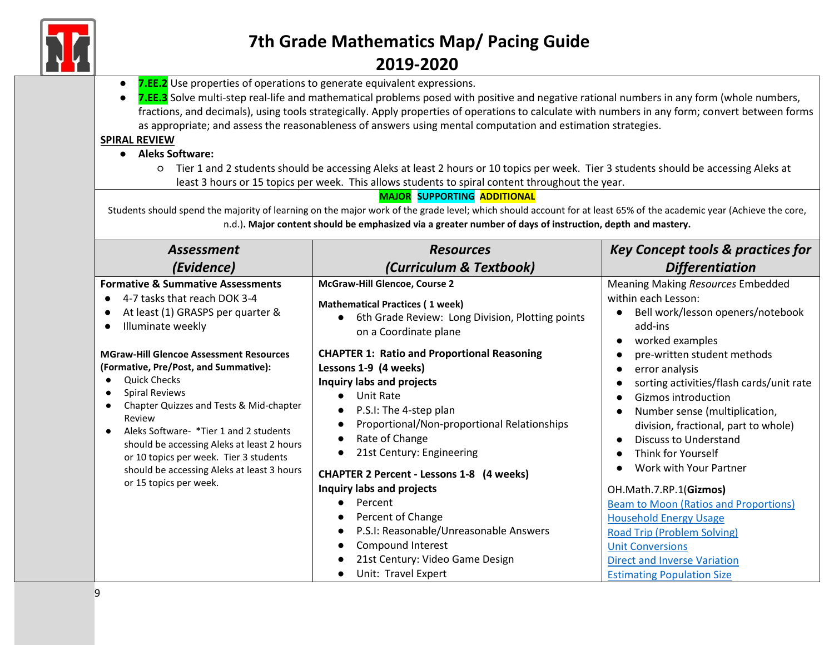

● **7.EE.2** Use properties of operations to generate equivalent expressions.

● **7.EE.3** Solve multi-step real-life and mathematical problems posed with positive and negative rational numbers in any form (whole numbers, fractions, and decimals), using tools strategically. Apply properties of operations to calculate with numbers in any form; convert between forms as appropriate; and assess the reasonableness of answers using mental computation and estimation strategies.

#### **SPIRAL REVIEW**

#### ● **Aleks Software:**

○ Tier 1 and 2 students should be accessing Aleks at least 2 hours or 10 topics per week. Tier 3 students should be accessing Aleks at least 3 hours or 15 topics per week. This allows students to spiral content throughout the year.

#### **MAJOR SUPPORTING ADDITIONAL**

Students should spend the majority of learning on the major work of the grade level; which should account for at least 65% of the academic year (Achieve the core, n.d.)**. Major content should be emphasized via a greater number of days of instruction, depth and mastery.**

| <b>Assessment</b>                                                                                                                                                                                                                                                                                                                                                                                      | <b>Resources</b>                                                                                                                                                                                                                                                                                                                                                                                                                                                                                                                | <b>Key Concept tools &amp; practices for</b>                                                                                                                                                                                                                                                                                                                                                                                                          |
|--------------------------------------------------------------------------------------------------------------------------------------------------------------------------------------------------------------------------------------------------------------------------------------------------------------------------------------------------------------------------------------------------------|---------------------------------------------------------------------------------------------------------------------------------------------------------------------------------------------------------------------------------------------------------------------------------------------------------------------------------------------------------------------------------------------------------------------------------------------------------------------------------------------------------------------------------|-------------------------------------------------------------------------------------------------------------------------------------------------------------------------------------------------------------------------------------------------------------------------------------------------------------------------------------------------------------------------------------------------------------------------------------------------------|
| (Evidence)                                                                                                                                                                                                                                                                                                                                                                                             | (Curriculum & Textbook)                                                                                                                                                                                                                                                                                                                                                                                                                                                                                                         | <b>Differentiation</b>                                                                                                                                                                                                                                                                                                                                                                                                                                |
| <b>Formative &amp; Summative Assessments</b><br>4-7 tasks that reach DOK 3-4<br>At least (1) GRASPS per quarter &<br>Illuminate weekly                                                                                                                                                                                                                                                                 | McGraw-Hill Glencoe, Course 2<br><b>Mathematical Practices (1 week)</b><br>6th Grade Review: Long Division, Plotting points<br>$\bullet$<br>on a Coordinate plane                                                                                                                                                                                                                                                                                                                                                               | Meaning Making Resources Embedded<br>within each Lesson:<br>Bell work/lesson openers/notebook<br>add-ins<br>worked examples                                                                                                                                                                                                                                                                                                                           |
| <b>MGraw-Hill Glencoe Assessment Resources</b><br>(Formative, Pre/Post, and Summative):<br><b>Quick Checks</b><br><b>Spiral Reviews</b><br>Chapter Quizzes and Tests & Mid-chapter<br>Review<br>Aleks Software- *Tier 1 and 2 students<br>should be accessing Aleks at least 2 hours<br>or 10 topics per week. Tier 3 students<br>should be accessing Aleks at least 3 hours<br>or 15 topics per week. | <b>CHAPTER 1: Ratio and Proportional Reasoning</b><br>Lessons 1-9 (4 weeks)<br><b>Inquiry labs and projects</b><br>Unit Rate<br>$\bullet$<br>P.S.I: The 4-step plan<br>$\bullet$<br>Proportional/Non-proportional Relationships<br>$\bullet$<br>Rate of Change<br>$\bullet$<br>21st Century: Engineering<br>$\bullet$<br><b>CHAPTER 2 Percent - Lessons 1-8 (4 weeks)</b><br>Inquiry labs and projects<br>Percent<br>Percent of Change<br>$\bullet$<br>P.S.I: Reasonable/Unreasonable Answers<br>$\bullet$<br>Compound Interest | pre-written student methods<br>error analysis<br>sorting activities/flash cards/unit rate<br>Gizmos introduction<br>Number sense (multiplication,<br>division, fractional, part to whole)<br><b>Discuss to Understand</b><br>Think for Yourself<br>Work with Your Partner<br>OH.Math.7.RP.1(Gizmos)<br><b>Beam to Moon (Ratios and Proportions)</b><br><b>Household Energy Usage</b><br><b>Road Trip (Problem Solving)</b><br><b>Unit Conversions</b> |
|                                                                                                                                                                                                                                                                                                                                                                                                        | 21st Century: Video Game Design<br>$\bullet$<br>Unit: Travel Expert                                                                                                                                                                                                                                                                                                                                                                                                                                                             | <b>Direct and Inverse Variation</b><br><b>Estimating Population Size</b>                                                                                                                                                                                                                                                                                                                                                                              |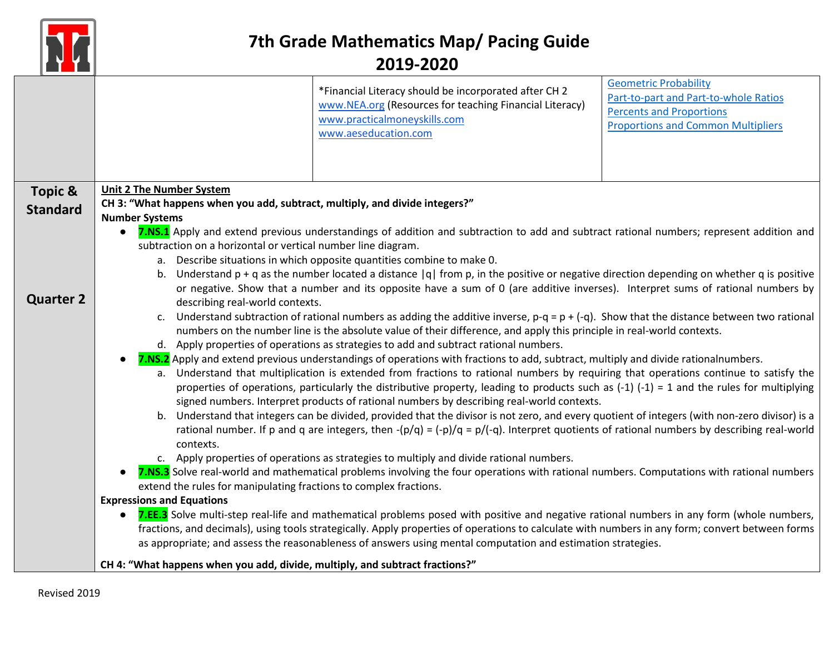

|                  |                                                                                                                                                                                                                                                                                    | *Financial Literacy should be incorporated after CH 2<br>www.NEA.org (Resources for teaching Financial Literacy)<br>www.practicalmoneyskills.com<br>www.aeseducation.com | <b>Geometric Probability</b><br>Part-to-part and Part-to-whole Ratios<br><b>Percents and Proportions</b><br><b>Proportions and Common Multipliers</b> |
|------------------|------------------------------------------------------------------------------------------------------------------------------------------------------------------------------------------------------------------------------------------------------------------------------------|--------------------------------------------------------------------------------------------------------------------------------------------------------------------------|-------------------------------------------------------------------------------------------------------------------------------------------------------|
| Topic &          | <b>Unit 2 The Number System</b>                                                                                                                                                                                                                                                    |                                                                                                                                                                          |                                                                                                                                                       |
|                  | CH 3: "What happens when you add, subtract, multiply, and divide integers?"                                                                                                                                                                                                        |                                                                                                                                                                          |                                                                                                                                                       |
| <b>Standard</b>  | <b>Number Systems</b>                                                                                                                                                                                                                                                              |                                                                                                                                                                          |                                                                                                                                                       |
|                  |                                                                                                                                                                                                                                                                                    | 7.NS.1 Apply and extend previous understandings of addition and subtraction to add and subtract rational numbers; represent addition and                                 |                                                                                                                                                       |
|                  | subtraction on a horizontal or vertical number line diagram.                                                                                                                                                                                                                       |                                                                                                                                                                          |                                                                                                                                                       |
|                  |                                                                                                                                                                                                                                                                                    | a. Describe situations in which opposite quantities combine to make 0.                                                                                                   |                                                                                                                                                       |
|                  | b.                                                                                                                                                                                                                                                                                 | Understand $p + q$ as the number located a distance $ q $ from p, in the positive or negative direction depending on whether q is positive                               |                                                                                                                                                       |
| <b>Quarter 2</b> |                                                                                                                                                                                                                                                                                    | or negative. Show that a number and its opposite have a sum of 0 (are additive inverses). Interpret sums of rational numbers by                                          |                                                                                                                                                       |
|                  | describing real-world contexts.                                                                                                                                                                                                                                                    |                                                                                                                                                                          |                                                                                                                                                       |
|                  | Understand subtraction of rational numbers as adding the additive inverse, $p-q = p + (-q)$ . Show that the distance between two rational<br>$c_{\cdot}$<br>numbers on the number line is the absolute value of their difference, and apply this principle in real-world contexts. |                                                                                                                                                                          |                                                                                                                                                       |
|                  | d. Apply properties of operations as strategies to add and subtract rational numbers.                                                                                                                                                                                              |                                                                                                                                                                          |                                                                                                                                                       |
|                  |                                                                                                                                                                                                                                                                                    | 7.NS.2 Apply and extend previous understandings of operations with fractions to add, subtract, multiply and divide rationalnumbers.                                      |                                                                                                                                                       |
|                  | a. Understand that multiplication is extended from fractions to rational numbers by requiring that operations continue to satisfy the                                                                                                                                              |                                                                                                                                                                          |                                                                                                                                                       |
|                  | properties of operations, particularly the distributive property, leading to products such as $(-1)$ $(-1)$ = 1 and the rules for multiplying                                                                                                                                      |                                                                                                                                                                          |                                                                                                                                                       |
|                  |                                                                                                                                                                                                                                                                                    | signed numbers. Interpret products of rational numbers by describing real-world contexts.                                                                                |                                                                                                                                                       |
|                  |                                                                                                                                                                                                                                                                                    | b. Understand that integers can be divided, provided that the divisor is not zero, and every quotient of integers (with non-zero divisor) is a                           |                                                                                                                                                       |
|                  |                                                                                                                                                                                                                                                                                    | rational number. If p and q are integers, then $-(p/q) = (-p)/q = p/(-q)$ . Interpret quotients of rational numbers by describing real-world                             |                                                                                                                                                       |
|                  | contexts.                                                                                                                                                                                                                                                                          | c. Apply properties of operations as strategies to multiply and divide rational numbers.                                                                                 |                                                                                                                                                       |
|                  |                                                                                                                                                                                                                                                                                    | 7.NS.3 Solve real-world and mathematical problems involving the four operations with rational numbers. Computations with rational numbers                                |                                                                                                                                                       |
|                  | extend the rules for manipulating fractions to complex fractions.                                                                                                                                                                                                                  |                                                                                                                                                                          |                                                                                                                                                       |
|                  | <b>Expressions and Equations</b>                                                                                                                                                                                                                                                   |                                                                                                                                                                          |                                                                                                                                                       |
|                  |                                                                                                                                                                                                                                                                                    | 7.EE.3 Solve multi-step real-life and mathematical problems posed with positive and negative rational numbers in any form (whole numbers,                                |                                                                                                                                                       |
|                  |                                                                                                                                                                                                                                                                                    | fractions, and decimals), using tools strategically. Apply properties of operations to calculate with numbers in any form; convert between forms                         |                                                                                                                                                       |
|                  |                                                                                                                                                                                                                                                                                    | as appropriate; and assess the reasonableness of answers using mental computation and estimation strategies.                                                             |                                                                                                                                                       |
|                  | CH 4: "What happens when you add, divide, multiply, and subtract fractions?"                                                                                                                                                                                                       |                                                                                                                                                                          |                                                                                                                                                       |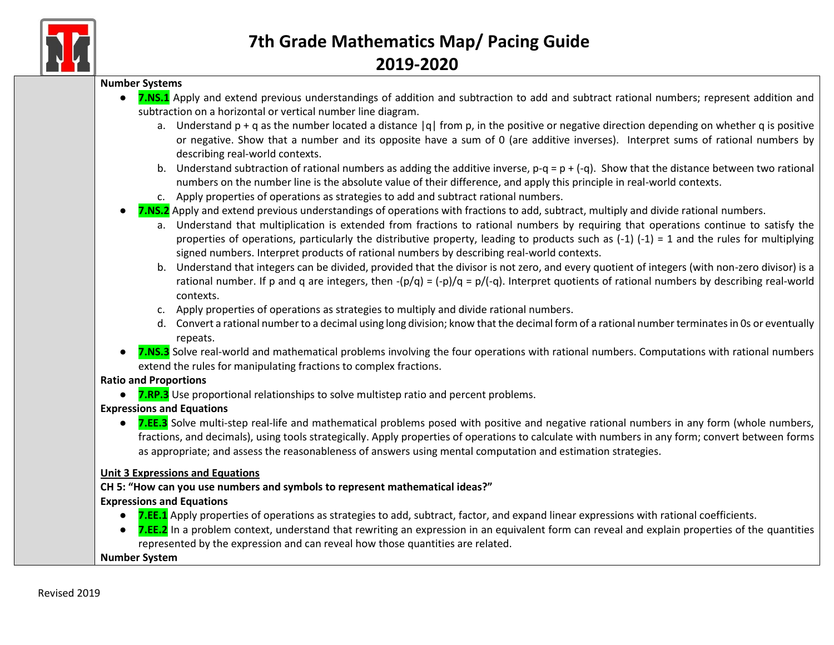

#### **Number Systems**

- **7.NS.1** Apply and extend previous understandings of addition and subtraction to add and subtract rational numbers; represent addition and subtraction on a horizontal or vertical number line diagram.
	- a. Understand  $p + q$  as the number located a distance  $|q|$  from p, in the positive or negative direction depending on whether q is positive or negative. Show that a number and its opposite have a sum of 0 (are additive inverses). Interpret sums of rational numbers by describing real-world contexts.
	- b. Understand subtraction of rational numbers as adding the additive inverse,  $p-q = p + (-q)$ . Show that the distance between two rational numbers on the number line is the absolute value of their difference, and apply this principle in real-world contexts.
	- c. Apply properties of operations as strategies to add and subtract rational numbers.
- **7.NS.2** Apply and extend previous understandings of operations with fractions to add, subtract, multiply and divide rational numbers.
	- a. Understand that multiplication is extended from fractions to rational numbers by requiring that operations continue to satisfy the properties of operations, particularly the distributive property, leading to products such as  $(-1)$   $(-1)$  = 1 and the rules for multiplying signed numbers. Interpret products of rational numbers by describing real-world contexts.
	- b. Understand that integers can be divided, provided that the divisor is not zero, and every quotient of integers (with non-zero divisor) is a rational number. If p and q are integers, then  $-(p/q) = (-p)/q = p/(-q)$ . Interpret quotients of rational numbers by describing real-world contexts.
	- c. Apply properties of operations as strategies to multiply and divide rational numbers.
	- d. Convert a rational number to a decimal using long division; know that the decimal form of a rational number terminates in 0s or eventually repeats.
- **7.NS.3** Solve real-world and mathematical problems involving the four operations with rational numbers. Computations with rational numbers extend the rules for manipulating fractions to complex fractions.

#### **Ratio and Proportions**

● **7.RP.3** Use proportional relationships to solve multistep ratio and percent problems.

#### **Expressions and Equations**

● **7.EE.3** Solve multi-step real-life and mathematical problems posed with positive and negative rational numbers in any form (whole numbers, fractions, and decimals), using tools strategically. Apply properties of operations to calculate with numbers in any form; convert between forms as appropriate; and assess the reasonableness of answers using mental computation and estimation strategies.

#### **Unit 3 Expressions and Equations**

#### **CH 5: "How can you use numbers and symbols to represent mathematical ideas?"**

#### **Expressions and Equations**

- **7.EE.1** Apply properties of operations as strategies to add, subtract, factor, and expand linear expressions with rational coefficients.
- **7.EE.2** In a problem context, understand that rewriting an expression in an equivalent form can reveal and explain properties of the quantities represented by the expression and can reveal how those quantities are related.

#### **Number System**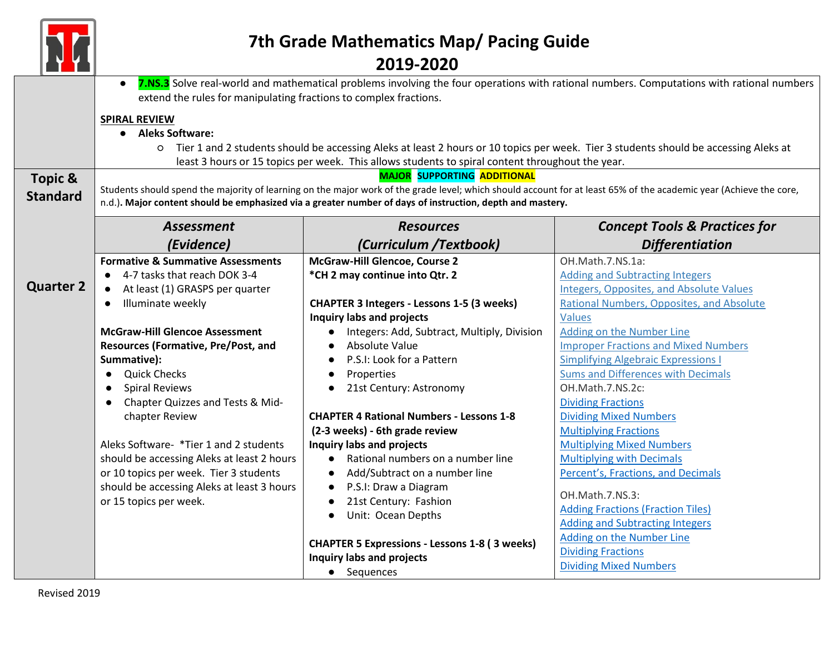|                                       | 7th Grade Mathematics Map/ Pacing Guide                                                                                                                                                                                                                                                                               |                                                      |                                                 |  |
|---------------------------------------|-----------------------------------------------------------------------------------------------------------------------------------------------------------------------------------------------------------------------------------------------------------------------------------------------------------------------|------------------------------------------------------|-------------------------------------------------|--|
|                                       | 2019-2020<br>7.NS.3 Solve real-world and mathematical problems involving the four operations with rational numbers. Computations with rational numbers<br>$\bullet$<br>extend the rules for manipulating fractions to complex fractions.                                                                              |                                                      |                                                 |  |
|                                       | <b>SPIRAL REVIEW</b><br><b>Aleks Software:</b><br>O Tier 1 and 2 students should be accessing Aleks at least 2 hours or 10 topics per week. Tier 3 students should be accessing Aleks at<br>least 3 hours or 15 topics per week. This allows students to spiral content throughout the year.                          |                                                      |                                                 |  |
| <b>Topic &amp;</b><br><b>Standard</b> | <b>MAJOR SUPPORTING ADDITIONAL</b><br>Students should spend the majority of learning on the major work of the grade level; which should account for at least 65% of the academic year (Achieve the core,<br>n.d.). Major content should be emphasized via a greater number of days of instruction, depth and mastery. |                                                      |                                                 |  |
|                                       | <b>Assessment</b>                                                                                                                                                                                                                                                                                                     | <b>Resources</b>                                     | <b>Concept Tools &amp; Practices for</b>        |  |
|                                       | (Evidence)                                                                                                                                                                                                                                                                                                            | (Curriculum /Textbook)                               | <b>Differentiation</b>                          |  |
|                                       | <b>Formative &amp; Summative Assessments</b>                                                                                                                                                                                                                                                                          | McGraw-Hill Glencoe, Course 2                        | OH.Math.7.NS.1a:                                |  |
|                                       | 4-7 tasks that reach DOK 3-4                                                                                                                                                                                                                                                                                          | *CH 2 may continue into Qtr. 2                       | <b>Adding and Subtracting Integers</b>          |  |
| <b>Quarter 2</b>                      | At least (1) GRASPS per quarter                                                                                                                                                                                                                                                                                       |                                                      | <b>Integers, Opposites, and Absolute Values</b> |  |
|                                       | Illuminate weekly                                                                                                                                                                                                                                                                                                     | <b>CHAPTER 3 Integers - Lessons 1-5 (3 weeks)</b>    | Rational Numbers, Opposites, and Absolute       |  |
|                                       |                                                                                                                                                                                                                                                                                                                       | Inquiry labs and projects                            | <b>Values</b>                                   |  |
|                                       | <b>McGraw-Hill Glencoe Assessment</b>                                                                                                                                                                                                                                                                                 | Integers: Add, Subtract, Multiply, Division          | <b>Adding on the Number Line</b>                |  |
|                                       | <b>Resources (Formative, Pre/Post, and</b>                                                                                                                                                                                                                                                                            | Absolute Value<br>$\bullet$                          | <b>Improper Fractions and Mixed Numbers</b>     |  |
|                                       | Summative):                                                                                                                                                                                                                                                                                                           | P.S.I: Look for a Pattern                            | <b>Simplifying Algebraic Expressions I</b>      |  |
|                                       | <b>Quick Checks</b><br>$\bullet$                                                                                                                                                                                                                                                                                      | Properties                                           | <b>Sums and Differences with Decimals</b>       |  |
|                                       | <b>Spiral Reviews</b><br>$\bullet$                                                                                                                                                                                                                                                                                    | 21st Century: Astronomy<br>$\bullet$                 | OH.Math.7.NS.2c:                                |  |
|                                       | Chapter Quizzes and Tests & Mid-<br>$\bullet$                                                                                                                                                                                                                                                                         |                                                      | <b>Dividing Fractions</b>                       |  |
|                                       | chapter Review                                                                                                                                                                                                                                                                                                        | <b>CHAPTER 4 Rational Numbers - Lessons 1-8</b>      | <b>Dividing Mixed Numbers</b>                   |  |
|                                       |                                                                                                                                                                                                                                                                                                                       | (2-3 weeks) - 6th grade review                       | <b>Multiplying Fractions</b>                    |  |
|                                       | Aleks Software- *Tier 1 and 2 students                                                                                                                                                                                                                                                                                | Inquiry labs and projects                            | <b>Multiplying Mixed Numbers</b>                |  |
|                                       | should be accessing Aleks at least 2 hours                                                                                                                                                                                                                                                                            | Rational numbers on a number line<br>$\bullet$       | <b>Multiplying with Decimals</b>                |  |
|                                       | or 10 topics per week. Tier 3 students                                                                                                                                                                                                                                                                                | Add/Subtract on a number line<br>$\bullet$           | Percent's, Fractions, and Decimals              |  |
|                                       | should be accessing Aleks at least 3 hours                                                                                                                                                                                                                                                                            | P.S.I: Draw a Diagram<br>$\bullet$                   | OH.Math.7.NS.3:                                 |  |
|                                       | or 15 topics per week.                                                                                                                                                                                                                                                                                                | 21st Century: Fashion                                | <b>Adding Fractions (Fraction Tiles)</b>        |  |
|                                       |                                                                                                                                                                                                                                                                                                                       | Unit: Ocean Depths                                   | <b>Adding and Subtracting Integers</b>          |  |
|                                       |                                                                                                                                                                                                                                                                                                                       |                                                      | Adding on the Number Line                       |  |
|                                       |                                                                                                                                                                                                                                                                                                                       | <b>CHAPTER 5 Expressions - Lessons 1-8 (3 weeks)</b> | <b>Dividing Fractions</b>                       |  |
|                                       |                                                                                                                                                                                                                                                                                                                       | Inquiry labs and projects                            | <b>Dividing Mixed Numbers</b>                   |  |
|                                       |                                                                                                                                                                                                                                                                                                                       | • Sequences                                          |                                                 |  |

[Type here]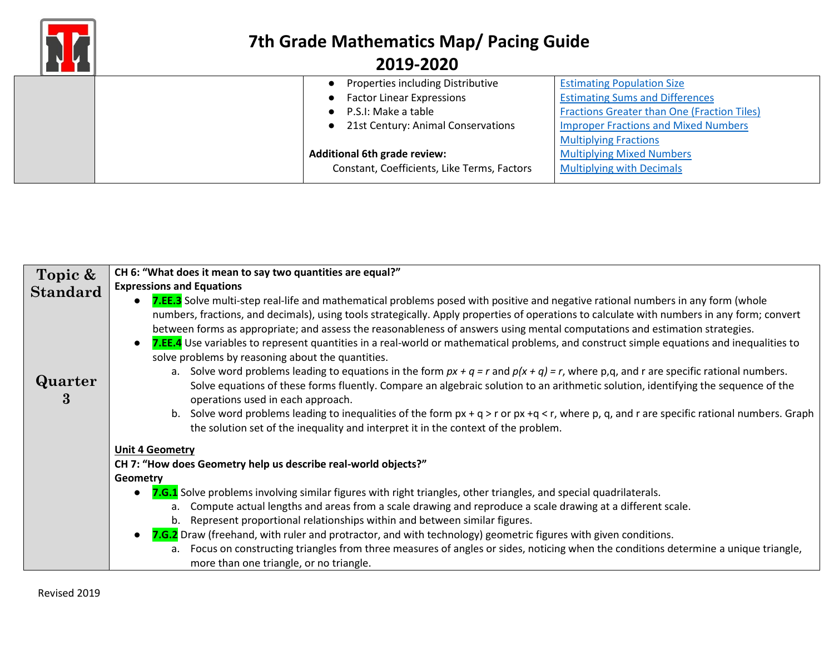

|  | Properties including Distributive           | <b>Estimating Population Size</b>                  |
|--|---------------------------------------------|----------------------------------------------------|
|  | <b>Factor Linear Expressions</b>            | <b>Estimating Sums and Differences</b>             |
|  | P.S.I: Make a table                         | <b>Fractions Greater than One (Fraction Tiles)</b> |
|  | 21st Century: Animal Conservations          | <b>Improper Fractions and Mixed Numbers</b>        |
|  |                                             | <b>Multiplying Fractions</b>                       |
|  | <b>Additional 6th grade review:</b>         | <b>Multiplying Mixed Numbers</b>                   |
|  | Constant, Coefficients, Like Terms, Factors | <b>Multiplying with Decimals</b>                   |
|  |                                             |                                                    |

| Topic &         | CH 6: "What does it mean to say two quantities are equal?"                                                                                                                                                                                                                                                                                                                                                                                                                                                                                                                                                                                                                                                                                                                                                                                                                                                                                                                                                                                                                                                                                                                                                     |  |  |  |
|-----------------|----------------------------------------------------------------------------------------------------------------------------------------------------------------------------------------------------------------------------------------------------------------------------------------------------------------------------------------------------------------------------------------------------------------------------------------------------------------------------------------------------------------------------------------------------------------------------------------------------------------------------------------------------------------------------------------------------------------------------------------------------------------------------------------------------------------------------------------------------------------------------------------------------------------------------------------------------------------------------------------------------------------------------------------------------------------------------------------------------------------------------------------------------------------------------------------------------------------|--|--|--|
| <b>Standard</b> | <b>Expressions and Equations</b>                                                                                                                                                                                                                                                                                                                                                                                                                                                                                                                                                                                                                                                                                                                                                                                                                                                                                                                                                                                                                                                                                                                                                                               |  |  |  |
| Quarter<br>3    | 7.EE.3 Solve multi-step real-life and mathematical problems posed with positive and negative rational numbers in any form (whole<br>$\bullet$<br>numbers, fractions, and decimals), using tools strategically. Apply properties of operations to calculate with numbers in any form; convert<br>between forms as appropriate; and assess the reasonableness of answers using mental computations and estimation strategies.<br>7.EE.4 Use variables to represent quantities in a real-world or mathematical problems, and construct simple equations and inequalities to<br>$\bullet$<br>solve problems by reasoning about the quantities.<br>a. Solve word problems leading to equations in the form $px + q = r$ and $p(x + q) = r$ , where p,q, and r are specific rational numbers.<br>Solve equations of these forms fluently. Compare an algebraic solution to an arithmetic solution, identifying the sequence of the<br>operations used in each approach.<br>Solve word problems leading to inequalities of the form $px + q > r$ or $px + q < r$ , where p, q, and r are specific rational numbers. Graph<br>b.<br>the solution set of the inequality and interpret it in the context of the problem. |  |  |  |
|                 |                                                                                                                                                                                                                                                                                                                                                                                                                                                                                                                                                                                                                                                                                                                                                                                                                                                                                                                                                                                                                                                                                                                                                                                                                |  |  |  |
|                 | <b>Unit 4 Geometry</b>                                                                                                                                                                                                                                                                                                                                                                                                                                                                                                                                                                                                                                                                                                                                                                                                                                                                                                                                                                                                                                                                                                                                                                                         |  |  |  |
|                 | CH 7: "How does Geometry help us describe real-world objects?"                                                                                                                                                                                                                                                                                                                                                                                                                                                                                                                                                                                                                                                                                                                                                                                                                                                                                                                                                                                                                                                                                                                                                 |  |  |  |
|                 | Geometry                                                                                                                                                                                                                                                                                                                                                                                                                                                                                                                                                                                                                                                                                                                                                                                                                                                                                                                                                                                                                                                                                                                                                                                                       |  |  |  |
|                 | 7.G.1 Solve problems involving similar figures with right triangles, other triangles, and special quadrilaterals.<br>$\bullet$                                                                                                                                                                                                                                                                                                                                                                                                                                                                                                                                                                                                                                                                                                                                                                                                                                                                                                                                                                                                                                                                                 |  |  |  |
|                 | Compute actual lengths and areas from a scale drawing and reproduce a scale drawing at a different scale.<br>a.                                                                                                                                                                                                                                                                                                                                                                                                                                                                                                                                                                                                                                                                                                                                                                                                                                                                                                                                                                                                                                                                                                |  |  |  |
|                 | b. Represent proportional relationships within and between similar figures.                                                                                                                                                                                                                                                                                                                                                                                                                                                                                                                                                                                                                                                                                                                                                                                                                                                                                                                                                                                                                                                                                                                                    |  |  |  |
|                 | 7.G.2 Draw (freehand, with ruler and protractor, and with technology) geometric figures with given conditions.<br>$\bullet$                                                                                                                                                                                                                                                                                                                                                                                                                                                                                                                                                                                                                                                                                                                                                                                                                                                                                                                                                                                                                                                                                    |  |  |  |
|                 | a. Focus on constructing triangles from three measures of angles or sides, noticing when the conditions determine a unique triangle,<br>more than one triangle, or no triangle.                                                                                                                                                                                                                                                                                                                                                                                                                                                                                                                                                                                                                                                                                                                                                                                                                                                                                                                                                                                                                                |  |  |  |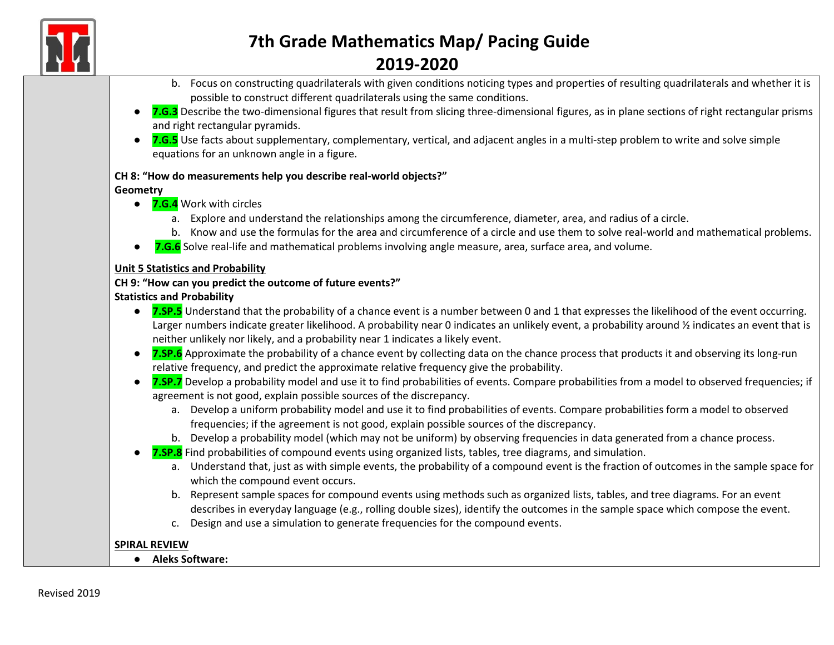

- b. Focus on constructing quadrilaterals with given conditions noticing types and properties of resulting quadrilaterals and whether it is possible to construct different quadrilaterals using the same conditions.
- **7.G.3** Describe the two-dimensional figures that result from slicing three-dimensional figures, as in plane sections of right rectangular prisms and right rectangular pyramids.
- **7.G.5** Use facts about supplementary, complementary, vertical, and adjacent angles in a multi-step problem to write and solve simple equations for an unknown angle in a figure.

#### **CH 8: "How do measurements help you describe real-world objects?"**

#### **Geometry**

- **7.G.4** Work with circles
	- a. Explore and understand the relationships among the circumference, diameter, area, and radius of a circle.
	- b. Know and use the formulas for the area and circumference of a circle and use them to solve real-world and mathematical problems.
- **7.G.6** Solve real-life and mathematical problems involving angle measure, area, surface area, and volume.

#### **Unit 5 Statistics and Probability**

#### **CH 9: "How can you predict the outcome of future events?"**

#### **Statistics and Probability**

- **7.SP.5** Understand that the probability of a chance event is a number between 0 and 1 that expresses the likelihood of the event occurring. Larger numbers indicate greater likelihood. A probability near 0 indicates an unlikely event, a probability around % indicates an event that is neither unlikely nor likely, and a probability near 1 indicates a likely event.
- **7.SP.6** Approximate the probability of a chance event by collecting data on the chance process that products it and observing its long-run relative frequency, and predict the approximate relative frequency give the probability.
- **7.SP.7** Develop a probability model and use it to find probabilities of events. Compare probabilities from a model to observed frequencies; if agreement is not good, explain possible sources of the discrepancy.
	- a. Develop a uniform probability model and use it to find probabilities of events. Compare probabilities form a model to observed frequencies; if the agreement is not good, explain possible sources of the discrepancy.
	- b. Develop a probability model (which may not be uniform) by observing frequencies in data generated from a chance process.
	- **7.SP.8** Find probabilities of compound events using organized lists, tables, tree diagrams, and simulation.
		- a. Understand that, just as with simple events, the probability of a compound event is the fraction of outcomes in the sample space for which the compound event occurs.
		- b. Represent sample spaces for compound events using methods such as organized lists, tables, and tree diagrams. For an event describes in everyday language (e.g., rolling double sizes), identify the outcomes in the sample space which compose the event.
		- c. Design and use a simulation to generate frequencies for the compound events.

#### **SPIRAL REVIEW**

● **Aleks Software:**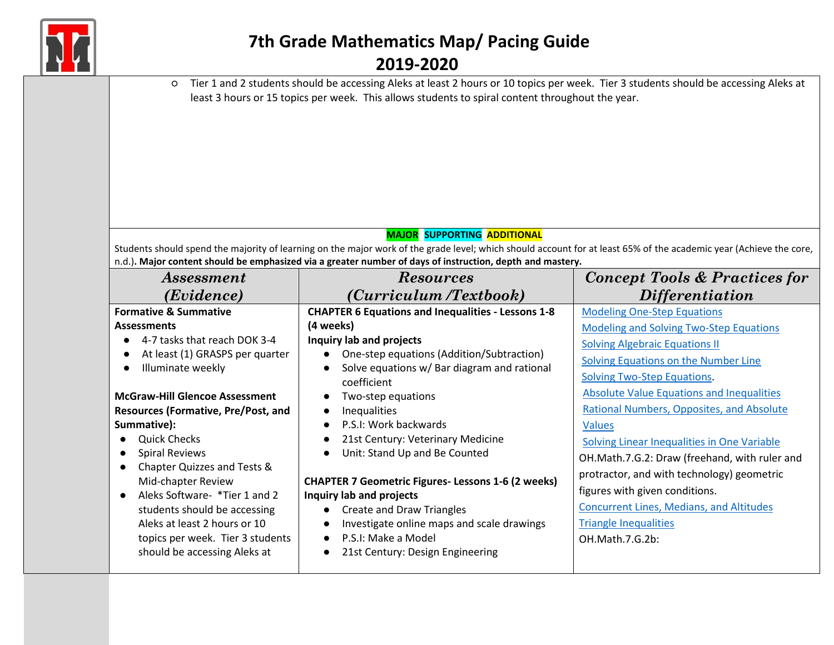

| Tier 1 and 2 students should be accessing Aleks at least 2 hours or 10 topics per week. Tier 3 students should be accessing Aleks at<br>$\circ$<br>least 3 hours or 15 topics per week. This allows students to spiral content throughout the year.<br><b>MAJOR SUPPORTING ADDITIONAL</b><br>Students should spend the majority of learning on the major work of the grade level; which should account for at least 65% of the academic year (Achieve the core,<br>n.d.). Major content should be emphasized via a greater number of days of instruction, depth and mastery. |                                                                                                                                                                                                                                                                                                                                                                                                                                                                                                                                                                                             |                                                                                                                                                                                                                                                                                                                                                                                                                                                                                                                                                                               |  |
|------------------------------------------------------------------------------------------------------------------------------------------------------------------------------------------------------------------------------------------------------------------------------------------------------------------------------------------------------------------------------------------------------------------------------------------------------------------------------------------------------------------------------------------------------------------------------|---------------------------------------------------------------------------------------------------------------------------------------------------------------------------------------------------------------------------------------------------------------------------------------------------------------------------------------------------------------------------------------------------------------------------------------------------------------------------------------------------------------------------------------------------------------------------------------------|-------------------------------------------------------------------------------------------------------------------------------------------------------------------------------------------------------------------------------------------------------------------------------------------------------------------------------------------------------------------------------------------------------------------------------------------------------------------------------------------------------------------------------------------------------------------------------|--|
| Assessment                                                                                                                                                                                                                                                                                                                                                                                                                                                                                                                                                                   | <b>Resources</b>                                                                                                                                                                                                                                                                                                                                                                                                                                                                                                                                                                            | <b>Concept Tools &amp; Practices for</b>                                                                                                                                                                                                                                                                                                                                                                                                                                                                                                                                      |  |
| (Evidence)                                                                                                                                                                                                                                                                                                                                                                                                                                                                                                                                                                   | (Curriculum /Textbook)                                                                                                                                                                                                                                                                                                                                                                                                                                                                                                                                                                      | <i>Differentiation</i>                                                                                                                                                                                                                                                                                                                                                                                                                                                                                                                                                        |  |
| <b>Formative &amp; Summative</b>                                                                                                                                                                                                                                                                                                                                                                                                                                                                                                                                             | <b>CHAPTER 6 Equations and Inequalities - Lessons 1-8</b>                                                                                                                                                                                                                                                                                                                                                                                                                                                                                                                                   | <b>Modeling One-Step Equations</b>                                                                                                                                                                                                                                                                                                                                                                                                                                                                                                                                            |  |
| <b>Assessments</b><br>4-7 tasks that reach DOK 3-4<br>At least (1) GRASPS per quarter<br>$\bullet$<br>Illuminate weekly<br>$\bullet$<br><b>McGraw-Hill Glencoe Assessment</b><br>Resources (Formative, Pre/Post, and<br>Summative):<br><b>Quick Checks</b><br><b>Spiral Reviews</b><br>Chapter Quizzes and Tests &<br>$\bullet$<br>Mid-chapter Review<br>Aleks Software- *Tier 1 and 2<br>students should be accessing<br>Aleks at least 2 hours or 10<br>topics per week. Tier 3 students<br>should be accessing Aleks at                                                   | (4 weeks)<br>Inquiry lab and projects<br>One-step equations (Addition/Subtraction)<br>$\bullet$<br>Solve equations w/ Bar diagram and rational<br>$\bullet$<br>coefficient<br>Two-step equations<br>$\bullet$<br>Inequalities<br>P.S.I: Work backwards<br>21st Century: Veterinary Medicine<br>Unit: Stand Up and Be Counted<br>$\bullet$<br><b>CHAPTER 7 Geometric Figures-Lessons 1-6 (2 weeks)</b><br>Inquiry lab and projects<br><b>Create and Draw Triangles</b><br>$\bullet$<br>Investigate online maps and scale drawings<br>P.S.I: Make a Model<br>21st Century: Design Engineering | <b>Modeling and Solving Two-Step Equations</b><br><b>Solving Algebraic Equations II</b><br>Solving Equations on the Number Line<br><b>Solving Two-Step Equations.</b><br><b>Absolute Value Equations and Inequalities</b><br>Rational Numbers, Opposites, and Absolute<br><b>Values</b><br>Solving Linear Inequalities in One Variable<br>OH.Math.7.G.2: Draw (freehand, with ruler and<br>protractor, and with technology) geometric<br>figures with given conditions.<br><b>Concurrent Lines, Medians, and Altitudes</b><br><b>Triangle Inequalities</b><br>OH.Math.7.G.2b: |  |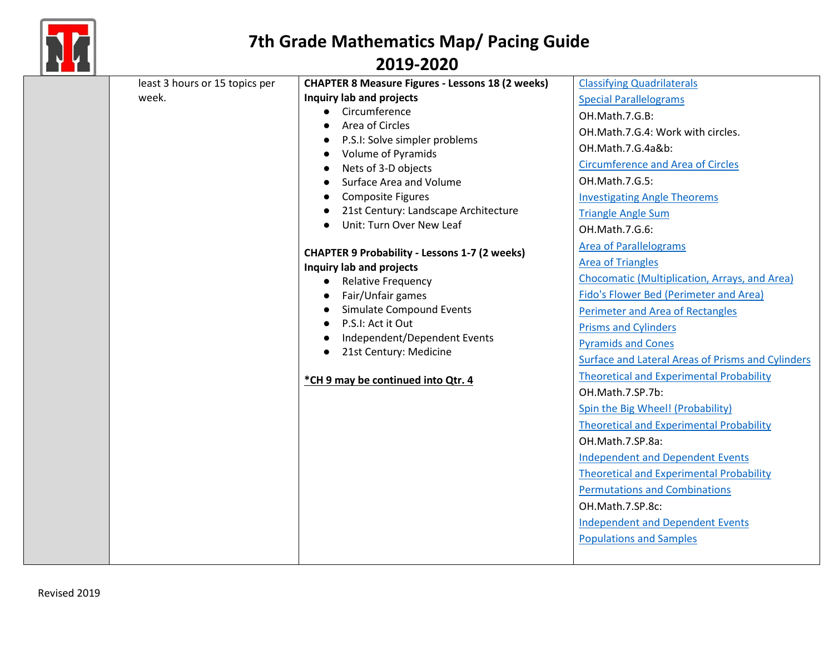

| least 3 hours or 15 topics per<br>week. | <b>CHAPTER 8 Measure Figures - Lessons 18 (2 weeks)</b><br>Inquiry lab and projects<br>Circumference<br>$\bullet$<br>Area of Circles<br>P.S.I: Solve simpler problems<br>$\bullet$<br>Volume of Pyramids<br>$\bullet$<br>Nets of 3-D objects<br>$\bullet$<br>Surface Area and Volume<br><b>Composite Figures</b><br>21st Century: Landscape Architecture<br>Unit: Turn Over New Leaf<br><b>CHAPTER 9 Probability - Lessons 1-7 (2 weeks)</b><br>Inquiry lab and projects<br><b>Relative Frequency</b><br>$\bullet$<br>Fair/Unfair games<br><b>Simulate Compound Events</b><br>$\bullet$<br>P.S.I: Act it Out<br>$\bullet$<br>Independent/Dependent Events<br>$\bullet$<br>21st Century: Medicine<br>$\bullet$<br>*CH 9 may be continued into Qtr. 4 | <b>Classifying Quadrilaterals</b><br><b>Special Parallelograms</b><br>OH.Math.7.G.B:<br>OH.Math.7.G.4: Work with circles.<br>OH.Math.7.G.4a&b:<br><b>Circumference and Area of Circles</b><br>OH.Math.7.G.5:<br><b>Investigating Angle Theorems</b><br><b>Triangle Angle Sum</b><br>OH.Math.7.G.6:<br><b>Area of Parallelograms</b><br><b>Area of Triangles</b><br>Chocomatic (Multiplication, Arrays, and Area)<br>Fido's Flower Bed (Perimeter and Area)<br>Perimeter and Area of Rectangles<br><b>Prisms and Cylinders</b><br><b>Pyramids and Cones</b><br>Surface and Lateral Areas of Prisms and Cylinders<br><b>Theoretical and Experimental Probability</b><br>OH.Math.7.SP.7b:<br>Spin the Big Wheel! (Probability)<br><b>Theoretical and Experimental Probability</b><br>OH.Math.7.SP.8a:<br><b>Independent and Dependent Events</b><br><b>Theoretical and Experimental Probability</b><br><b>Permutations and Combinations</b><br>OH.Math.7.SP.8c:<br><b>Independent and Dependent Events</b><br><b>Populations and Samples</b> |
|-----------------------------------------|-----------------------------------------------------------------------------------------------------------------------------------------------------------------------------------------------------------------------------------------------------------------------------------------------------------------------------------------------------------------------------------------------------------------------------------------------------------------------------------------------------------------------------------------------------------------------------------------------------------------------------------------------------------------------------------------------------------------------------------------------------|-------------------------------------------------------------------------------------------------------------------------------------------------------------------------------------------------------------------------------------------------------------------------------------------------------------------------------------------------------------------------------------------------------------------------------------------------------------------------------------------------------------------------------------------------------------------------------------------------------------------------------------------------------------------------------------------------------------------------------------------------------------------------------------------------------------------------------------------------------------------------------------------------------------------------------------------------------------------------------------------------------------------------------------------|
|-----------------------------------------|-----------------------------------------------------------------------------------------------------------------------------------------------------------------------------------------------------------------------------------------------------------------------------------------------------------------------------------------------------------------------------------------------------------------------------------------------------------------------------------------------------------------------------------------------------------------------------------------------------------------------------------------------------------------------------------------------------------------------------------------------------|-------------------------------------------------------------------------------------------------------------------------------------------------------------------------------------------------------------------------------------------------------------------------------------------------------------------------------------------------------------------------------------------------------------------------------------------------------------------------------------------------------------------------------------------------------------------------------------------------------------------------------------------------------------------------------------------------------------------------------------------------------------------------------------------------------------------------------------------------------------------------------------------------------------------------------------------------------------------------------------------------------------------------------------------|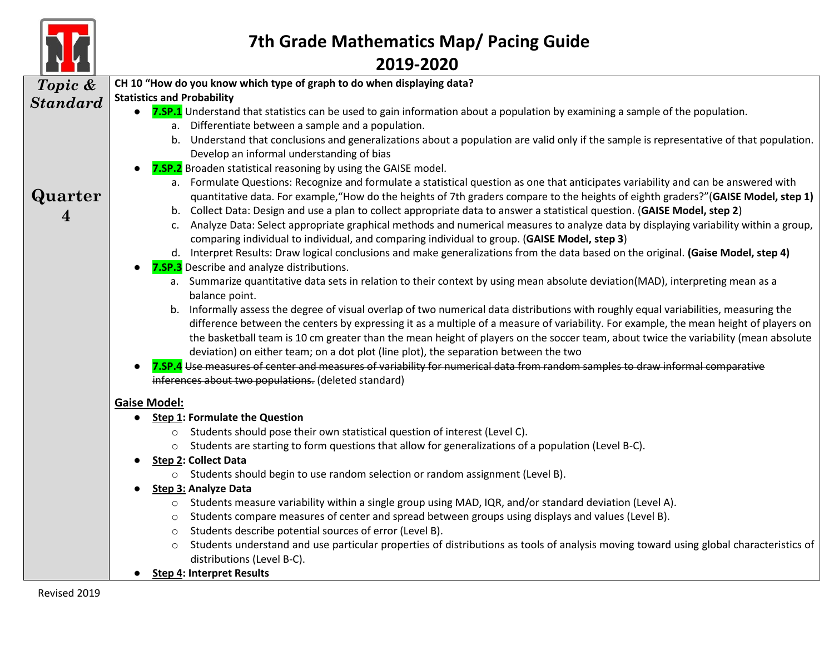

| <b>Contract Contract Contract Contract</b> |                                                                                                                                                  |  |  |
|--------------------------------------------|--------------------------------------------------------------------------------------------------------------------------------------------------|--|--|
| Topic &                                    | CH 10 "How do you know which type of graph to do when displaying data?                                                                           |  |  |
| <b>Standard</b>                            | <b>Statistics and Probability</b>                                                                                                                |  |  |
|                                            | 7.SP.1 Understand that statistics can be used to gain information about a population by examining a sample of the population.                    |  |  |
|                                            | a. Differentiate between a sample and a population.                                                                                              |  |  |
|                                            | b. Understand that conclusions and generalizations about a population are valid only if the sample is representative of that population.         |  |  |
|                                            | Develop an informal understanding of bias                                                                                                        |  |  |
|                                            | 7.SP.2 Broaden statistical reasoning by using the GAISE model.                                                                                   |  |  |
|                                            | a. Formulate Questions: Recognize and formulate a statistical question as one that anticipates variability and can be answered with              |  |  |
| Quarter                                    | quantitative data. For example, "How do the heights of 7th graders compare to the heights of eighth graders?"(GAISE Model, step 1)               |  |  |
| 4                                          | b. Collect Data: Design and use a plan to collect appropriate data to answer a statistical question. (GAISE Model, step 2)                       |  |  |
|                                            | c. Analyze Data: Select appropriate graphical methods and numerical measures to analyze data by displaying variability within a group,           |  |  |
|                                            | comparing individual to individual, and comparing individual to group. (GAISE Model, step 3)                                                     |  |  |
|                                            | d. Interpret Results: Draw logical conclusions and make generalizations from the data based on the original. (Gaise Model, step 4)               |  |  |
|                                            | 7.SP.3 Describe and analyze distributions.                                                                                                       |  |  |
|                                            | a. Summarize quantitative data sets in relation to their context by using mean absolute deviation(MAD), interpreting mean as a                   |  |  |
|                                            | balance point.                                                                                                                                   |  |  |
|                                            | b. Informally assess the degree of visual overlap of two numerical data distributions with roughly equal variabilities, measuring the            |  |  |
|                                            | difference between the centers by expressing it as a multiple of a measure of variability. For example, the mean height of players on            |  |  |
|                                            | the basketball team is 10 cm greater than the mean height of players on the soccer team, about twice the variability (mean absolute              |  |  |
|                                            | deviation) on either team; on a dot plot (line plot), the separation between the two                                                             |  |  |
|                                            | 7.SP.4 Use measures of center and measures of variability for numerical data from random samples to draw informal comparative                    |  |  |
|                                            | inferences about two populations. (deleted standard)                                                                                             |  |  |
|                                            | <b>Gaise Model:</b>                                                                                                                              |  |  |
|                                            | <b>Step 1: Formulate the Question</b>                                                                                                            |  |  |
|                                            | o Students should pose their own statistical question of interest (Level C).                                                                     |  |  |
|                                            | Students are starting to form questions that allow for generalizations of a population (Level B-C).<br>$\circ$                                   |  |  |
|                                            | <b>Step 2: Collect Data</b>                                                                                                                      |  |  |
|                                            | o Students should begin to use random selection or random assignment (Level B).                                                                  |  |  |
|                                            | <b>Step 3: Analyze Data</b>                                                                                                                      |  |  |
|                                            | o Students measure variability within a single group using MAD, IQR, and/or standard deviation (Level A).                                        |  |  |
|                                            | Students compare measures of center and spread between groups using displays and values (Level B).<br>$\circ$                                    |  |  |
|                                            | Students describe potential sources of error (Level B).<br>$\circ$                                                                               |  |  |
|                                            | Students understand and use particular properties of distributions as tools of analysis moving toward using global characteristics of<br>$\circ$ |  |  |
|                                            | distributions (Level B-C).                                                                                                                       |  |  |
|                                            | <b>Step 4: Interpret Results</b>                                                                                                                 |  |  |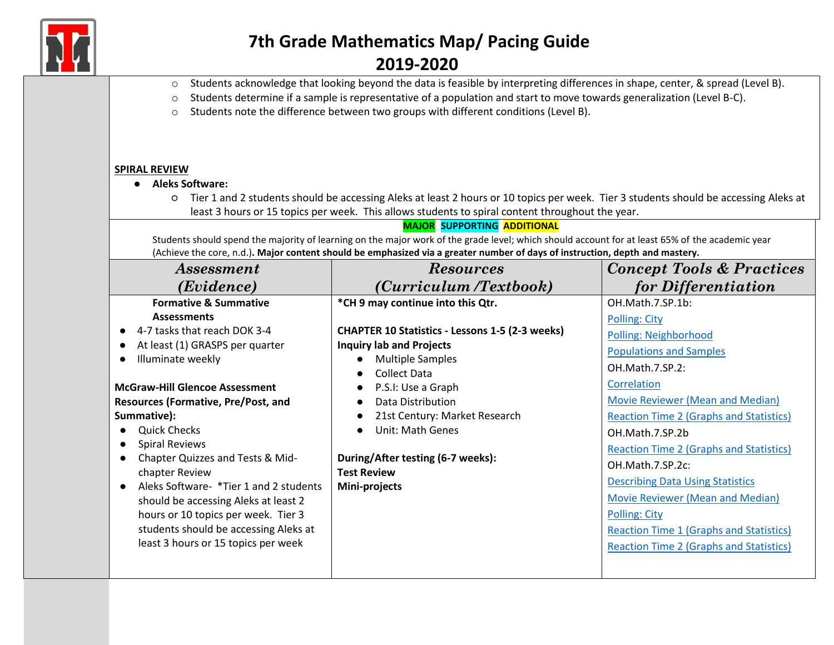

### **2019-2020**

- o Students acknowledge that looking beyond the data is feasible by interpreting differences in shape, center, & spread (Level B).
- o Students determine if a sample is representative of a population and start to move towards generalization (Level B-C).
- o Students note the difference between two groups with different conditions (Level B).

#### **SPIRAL REVIEW**

- **Aleks Software:**
	- Tier 1 and 2 students should be accessing Aleks at least 2 hours or 10 topics per week. Tier 3 students should be accessing Aleks at least 3 hours or 15 topics per week. This allows students to spiral content throughout the year.

**MAJOR SUPPORTING ADDITIONAL**

Students should spend the majority of learning on the major work of the grade level; which should account for at least 65% of the academic year (Achieve the core, n.d.)**. Major content should be emphasized via a greater number of days of instruction, depth and mastery.**

| <i>Assessment</i>                                                                                                                                                                                                                                                                                                                     | <b>Resources</b>                                                                                                                                                                                                                                                                                          | <b>Concept Tools &amp; Practices</b>                                                                                                                                                                                                                                                             |
|---------------------------------------------------------------------------------------------------------------------------------------------------------------------------------------------------------------------------------------------------------------------------------------------------------------------------------------|-----------------------------------------------------------------------------------------------------------------------------------------------------------------------------------------------------------------------------------------------------------------------------------------------------------|--------------------------------------------------------------------------------------------------------------------------------------------------------------------------------------------------------------------------------------------------------------------------------------------------|
| (Evidence)                                                                                                                                                                                                                                                                                                                            | (Curriculum /Textbook)                                                                                                                                                                                                                                                                                    | for Differentiation                                                                                                                                                                                                                                                                              |
| <b>Formative &amp; Summative</b><br><b>Assessments</b><br>4-7 tasks that reach DOK 3-4<br>At least (1) GRASPS per quarter<br>Illuminate weekly<br><b>McGraw-Hill Glencoe Assessment</b><br><b>Resources (Formative, Pre/Post, and</b><br>Summative):                                                                                  | *CH 9 may continue into this Qtr.<br><b>CHAPTER 10 Statistics - Lessons 1-5 (2-3 weeks)</b><br><b>Inquiry lab and Projects</b><br><b>Multiple Samples</b><br>$\bullet$<br>Collect Data<br>$\bullet$<br>P.S.I: Use a Graph<br>Data Distribution<br>$\bullet$<br>21st Century: Market Research<br>$\bullet$ | OH.Math.7.SP.1b:<br>Polling: City<br>Polling: Neighborhood<br><b>Populations and Samples</b><br>OH.Math.7.SP.2:<br>Correlation<br>Movie Reviewer (Mean and Median)<br><b>Reaction Time 2 (Graphs and Statistics)</b>                                                                             |
| <b>Quick Checks</b><br><b>Spiral Reviews</b><br>$\bullet$<br>Chapter Quizzes and Tests & Mid-<br>chapter Review<br>Aleks Software- *Tier 1 and 2 students<br>$\bullet$<br>should be accessing Aleks at least 2<br>hours or 10 topics per week. Tier 3<br>students should be accessing Aleks at<br>least 3 hours or 15 topics per week | Unit: Math Genes<br>$\bullet$<br>During/After testing (6-7 weeks):<br><b>Test Review</b><br>Mini-projects                                                                                                                                                                                                 | OH.Math.7.SP.2b<br><b>Reaction Time 2 (Graphs and Statistics)</b><br>OH.Math.7.SP.2c:<br><b>Describing Data Using Statistics</b><br>Movie Reviewer (Mean and Median)<br><b>Polling: City</b><br><b>Reaction Time 1 (Graphs and Statistics)</b><br><b>Reaction Time 2 (Graphs and Statistics)</b> |